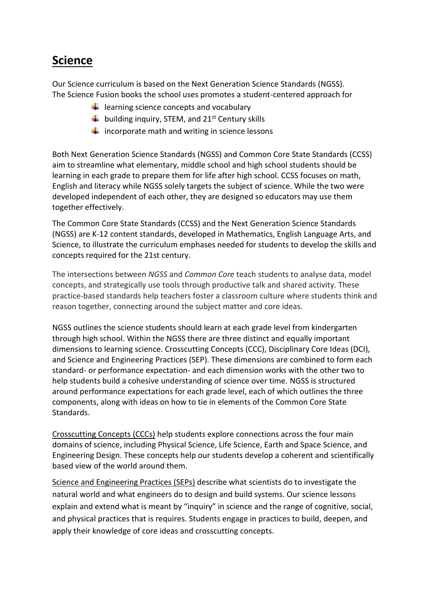## **Science**

Our Science curriculum is based on the Next Generation Science Standards (NGSS). The Science Fusion books the school uses promotes a student-centered approach for

- $\downarrow$  learning science concepts and vocabulary
- $\frac{1}{2}$  building inquiry, STEM, and 21<sup>st</sup> Century skills
- $\frac{1}{\sqrt{1}}$  incorporate math and writing in science lessons

Both Next Generation Science Standards (NGSS) and Common Core State Standards (CCSS) aim to streamline what elementary, middle school and high school students should be learning in each grade to prepare them for life after high school. CCSS focuses on math, English and literacy while NGSS solely targets the subject of science. While the two were developed independent of each other, they are designed so educators may use them together effectively.

The Common Core State Standards (CCSS) and the Next Generation Science Standards (NGSS) are K-12 content standards, developed in Mathematics, English Language Arts, and Science, to illustrate the curriculum emphases needed for students to develop the skills and concepts required for the 21st century.

The intersections between *NGSS* and *Common Core* teach students to analyse data, model concepts, and strategically use tools through productive talk and shared activity. These practice-based standards help teachers foster a classroom culture where students think and reason together, connecting around the subject matter and core ideas.

NGSS outlines the science students should learn at each grade level from kindergarten through high school. Within the NGSS there are three distinct and equally important dimensions to learning science. Crosscutting Concepts (CCC), Disciplinary Core Ideas (DCI), and Science and Engineering Practices (SEP). These dimensions are combined to form each standard- or performance expectation- and each dimension works with the other two to help students build a cohesive understanding of science over time. NGSS is structured around performance expectations for each grade level, each of which outlines the three components, along with ideas on how to tie in elements of the Common Core State Standards.

Crosscutting Concepts (CCCs) help students explore connections across the four main domains of science, including Physical Science, Life Science, Earth and Space Science, and Engineering Design. These concepts help our students develop a coherent and scientifically based view of the world around them.

Science and Engineering Practices (SEPs) describe what scientists do to investigate the natural world and what engineers do to design and build systems. Our science lessons explain and extend what is meant by "inquiry" in science and the range of cognitive, social, and physical practices that is requires. Students engage in practices to build, deepen, and apply their knowledge of core ideas and crosscutting concepts.